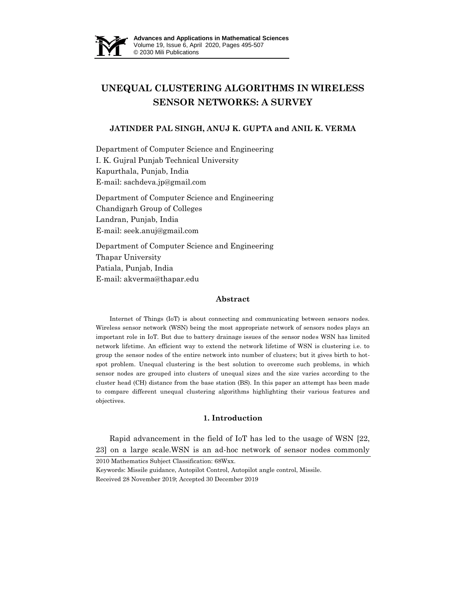

# **UNEQUAL CLUSTERING ALGORITHMS IN WIRELESS SENSOR NETWORKS: A SURVEY**

## **JATINDER PAL SINGH, ANUJ K. GUPTA and ANIL K. VERMA**

Department of Computer Science and Engineering I. K. Gujral Punjab Technical University Kapurthala, Punjab, India E-mail: sachdeva.jp@gmail.com

Department of Computer Science and Engineering Chandigarh Group of Colleges Landran, Punjab, India E-mail: seek.anuj@gmail.com

Department of Computer Science and Engineering Thapar University Patiala, Punjab, India E-mail: akverma@thapar.edu

## **Abstract**

Internet of Things (IoT) is about connecting and communicating between sensors nodes. Wireless sensor network (WSN) being the most appropriate network of sensors nodes plays an important role in IoT. But due to battery drainage issues of the sensor nodes WSN has limited network lifetime. An efficient way to extend the network lifetime of WSN is clustering i.e. to group the sensor nodes of the entire network into number of clusters; but it gives birth to hotspot problem. Unequal clustering is the best solution to overcome such problems, in which sensor nodes are grouped into clusters of unequal sizes and the size varies according to the cluster head (CH) distance from the base station (BS). In this paper an attempt has been made to compare different unequal clustering algorithms highlighting their various features and objectives.

### **1. Introduction**

Rapid advancement in the field of IoT has led to the usage of WSN [22, 23] on a large scale.WSN is an ad-hoc network of sensor nodes commonly

2010 Mathematics Subject Classification: 68Wxx.

Keywords: Missile guidance, Autopilot Control, Autopilot angle control, Missile. Received 28 November 2019; Accepted 30 December 2019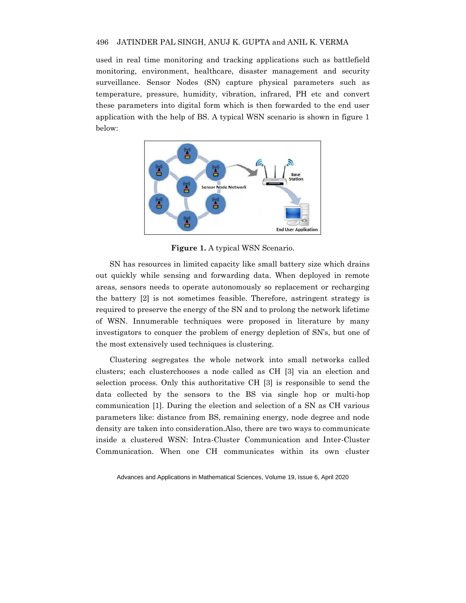used in real time monitoring and tracking applications such as battlefield monitoring, environment, healthcare, disaster management and security surveillance. Sensor Nodes (SN) capture physical parameters such as temperature, pressure, humidity, vibration, infrared, PH etc and convert these parameters into digital form which is then forwarded to the end user application with the help of BS. A typical WSN scenario is shown in figure 1 below:



**Figure 1.** A typical WSN Scenario.

SN has resources in limited capacity like small battery size which drains out quickly while sensing and forwarding data. When deployed in remote areas, sensors needs to operate autonomously so replacement or recharging the battery [2] is not sometimes feasible. Therefore, astringent strategy is required to preserve the energy of the SN and to prolong the network lifetime of WSN. Innumerable techniques were proposed in literature by many investigators to conquer the problem of energy depletion of SN's, but one of the most extensively used techniques is clustering.

Clustering segregates the whole network into small networks called clusters; each clusterchooses a node called as CH [3] via an election and selection process. Only this authoritative CH [3] is responsible to send the data collected by the sensors to the BS via single hop or multi-hop communication [1]. During the election and selection of a SN as CH various parameters like: distance from BS, remaining energy, node degree and node density are taken into consideration.Also, there are two ways to communicate inside a clustered WSN: Intra-Cluster Communication and Inter-Cluster Communication. When one CH communicates within its own cluster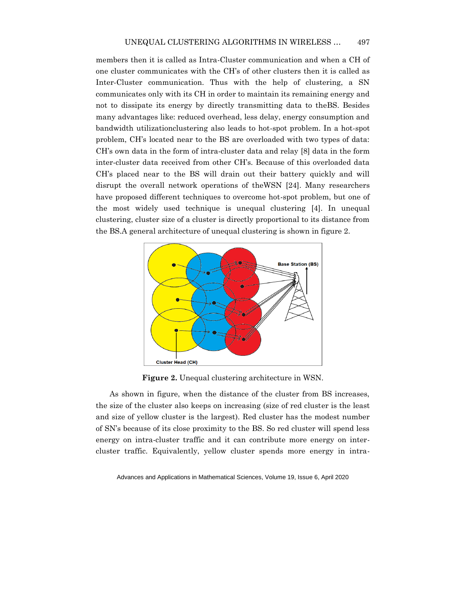members then it is called as Intra-Cluster communication and when a CH of one cluster communicates with the CH's of other clusters then it is called as Inter-Cluster communication. Thus with the help of clustering, a SN communicates only with its CH in order to maintain its remaining energy and not to dissipate its energy by directly transmitting data to theBS. Besides many advantages like: reduced overhead, less delay, energy consumption and bandwidth utilizationclustering also leads to hot-spot problem. In a hot-spot problem, CH's located near to the BS are overloaded with two types of data: CH's own data in the form of intra-cluster data and relay [8] data in the form inter-cluster data received from other CH's. Because of this overloaded data CH's placed near to the BS will drain out their battery quickly and will disrupt the overall network operations of theWSN [24]. Many researchers have proposed different techniques to overcome hot-spot problem, but one of the most widely used technique is unequal clustering [4]. In unequal clustering, cluster size of a cluster is directly proportional to its distance from the BS.A general architecture of unequal clustering is shown in figure 2.



**Figure 2.** Unequal clustering architecture in WSN.

As shown in figure, when the distance of the cluster from BS increases, the size of the cluster also keeps on increasing (size of red cluster is the least and size of yellow cluster is the largest). Red cluster has the modest number of SN's because of its close proximity to the BS. So red cluster will spend less energy on intra-cluster traffic and it can contribute more energy on intercluster traffic. Equivalently, yellow cluster spends more energy in intra-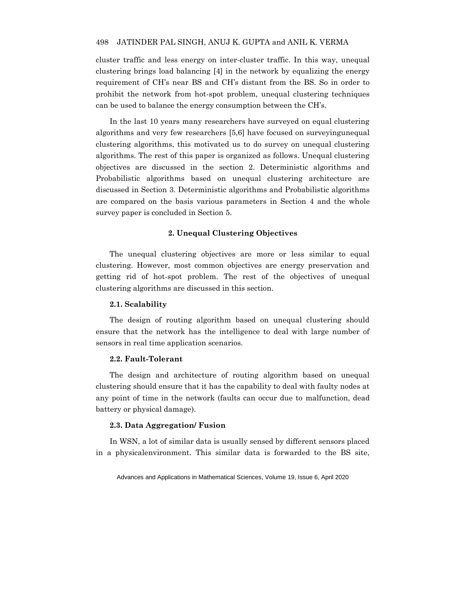cluster traffic and less energy on inter-cluster traffic. In this way, unequal clustering brings load balancing [4] in the network by equalizing the energy requirement of CH's near BS and CH's distant from the BS. So in order to prohibit the network from hot-spot problem, unequal clustering techniques can be used to balance the energy consumption between the CH's.

In the last 10 years many researchers have surveyed on equal clustering algorithms and very few researchers [5,6] have focused on surveyingunequal clustering algorithms, this motivated us to do survey on unequal clustering algorithms. The rest of this paper is organized as follows. Unequal clustering objectives are discussed in the section 2. Deterministic algorithms and Probabilistic algorithms based on unequal clustering architecture are discussed in Section 3. Deterministic algorithms and Probabilistic algorithms are compared on the basis various parameters in Section 4 and the whole survey paper is concluded in Section 5.

## **2. Unequal Clustering Objectives**

The unequal clustering objectives are more or less similar to equal clustering. However, most common objectives are energy preservation and getting rid of hot-spot problem. The rest of the objectives of unequal clustering algorithms are discussed in this section.

### **2.1. Scalability**

The design of routing algorithm based on unequal clustering should ensure that the network has the intelligence to deal with large number of sensors in real time application scenarios.

## **2.2. Fault-Tolerant**

The design and architecture of routing algorithm based on unequal clustering should ensure that it has the capability to deal with faulty nodes at any point of time in the network (faults can occur due to malfunction, dead battery or physical damage).

## **2.3. Data Aggregation/ Fusion**

In WSN, a lot of similar data is usually sensed by different sensors placed in a physicalenvironment. This similar data is forwarded to the BS site,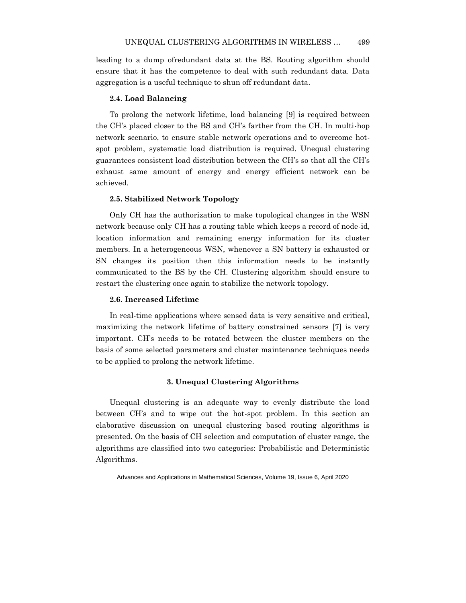leading to a dump ofredundant data at the BS. Routing algorithm should ensure that it has the competence to deal with such redundant data. Data aggregation is a useful technique to shun off redundant data.

## **2.4. Load Balancing**

To prolong the network lifetime, load balancing [9] is required between the CH's placed closer to the BS and CH's farther from the CH. In multi-hop network scenario, to ensure stable network operations and to overcome hotspot problem, systematic load distribution is required. Unequal clustering guarantees consistent load distribution between the CH's so that all the CH's exhaust same amount of energy and energy efficient network can be achieved.

## **2.5. Stabilized Network Topology**

Only CH has the authorization to make topological changes in the WSN network because only CH has a routing table which keeps a record of node-id, location information and remaining energy information for its cluster members. In a heterogeneous WSN, whenever a SN battery is exhausted or SN changes its position then this information needs to be instantly communicated to the BS by the CH. Clustering algorithm should ensure to restart the clustering once again to stabilize the network topology.

### **2.6. Increased Lifetime**

In real-time applications where sensed data is very sensitive and critical, maximizing the network lifetime of battery constrained sensors [7] is very important. CH's needs to be rotated between the cluster members on the basis of some selected parameters and cluster maintenance techniques needs to be applied to prolong the network lifetime.

## **3. Unequal Clustering Algorithms**

Unequal clustering is an adequate way to evenly distribute the load between CH's and to wipe out the hot-spot problem. In this section an elaborative discussion on unequal clustering based routing algorithms is presented. On the basis of CH selection and computation of cluster range, the algorithms are classified into two categories: Probabilistic and Deterministic Algorithms.

Advances and Applications in Mathematical Sciences, Volume 19, Issue 6, April 2020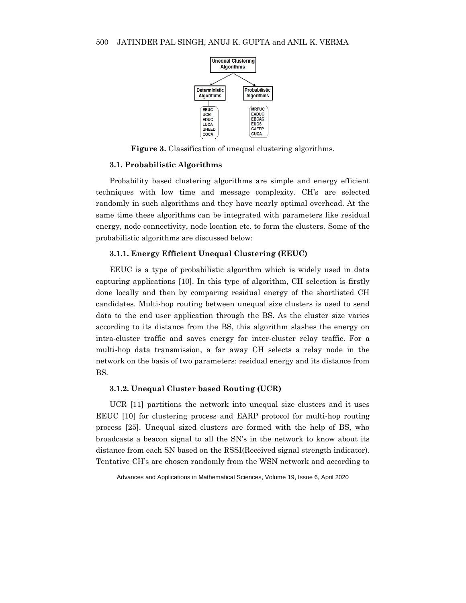

**Figure 3.** Classification of unequal clustering algorithms.

### **3.1. Probabilistic Algorithms**

Probability based clustering algorithms are simple and energy efficient techniques with low time and message complexity. CH's are selected randomly in such algorithms and they have nearly optimal overhead. At the same time these algorithms can be integrated with parameters like residual energy, node connectivity, node location etc. to form the clusters. Some of the probabilistic algorithms are discussed below:

## **3.1.1. Energy Efficient Unequal Clustering (EEUC)**

EEUC is a type of probabilistic algorithm which is widely used in data capturing applications [10]. In this type of algorithm, CH selection is firstly done locally and then by comparing residual energy of the shortlisted CH candidates. Multi-hop routing between unequal size clusters is used to send data to the end user application through the BS. As the cluster size varies according to its distance from the BS, this algorithm slashes the energy on intra-cluster traffic and saves energy for inter-cluster relay traffic. For a multi-hop data transmission, a far away CH selects a relay node in the network on the basis of two parameters: residual energy and its distance from BS.

## **3.1.2. Unequal Cluster based Routing (UCR)**

UCR [11] partitions the network into unequal size clusters and it uses EEUC [10] for clustering process and EARP protocol for multi-hop routing process [25]. Unequal sized clusters are formed with the help of BS, who broadcasts a beacon signal to all the SN's in the network to know about its distance from each SN based on the RSSI(Received signal strength indicator). Tentative CH's are chosen randomly from the WSN network and according to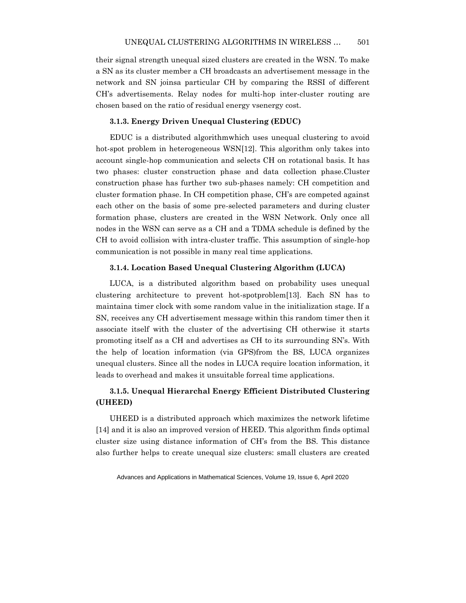their signal strength unequal sized clusters are created in the WSN. To make a SN as its cluster member a CH broadcasts an advertisement message in the network and SN joinsa particular CH by comparing the RSSI of different CH's advertisements. Relay nodes for multi-hop inter-cluster routing are chosen based on the ratio of residual energy vsenergy cost.

## **3.1.3. Energy Driven Unequal Clustering (EDUC)**

EDUC is a distributed algorithmwhich uses unequal clustering to avoid hot-spot problem in heterogeneous WSN[12]. This algorithm only takes into account single-hop communication and selects CH on rotational basis. It has two phases: cluster construction phase and data collection phase.Cluster construction phase has further two sub-phases namely: CH competition and cluster formation phase. In CH competition phase, CH's are competed against each other on the basis of some pre-selected parameters and during cluster formation phase, clusters are created in the WSN Network. Only once all nodes in the WSN can serve as a CH and a TDMA schedule is defined by the CH to avoid collision with intra-cluster traffic. This assumption of single-hop communication is not possible in many real time applications.

## **3.1.4. Location Based Unequal Clustering Algorithm (LUCA)**

LUCA, is a distributed algorithm based on probability uses unequal clustering architecture to prevent hot-spotproblem[13]. Each SN has to maintaina timer clock with some random value in the initialization stage. If a SN, receives any CH advertisement message within this random timer then it associate itself with the cluster of the advertising CH otherwise it starts promoting itself as a CH and advertises as CH to its surrounding SN's. With the help of location information (via GPS)from the BS, LUCA organizes unequal clusters. Since all the nodes in LUCA require location information, it leads to overhead and makes it unsuitable forreal time applications.

## **3.1.5. Unequal Hierarchal Energy Efficient Distributed Clustering (UHEED)**

UHEED is a distributed approach which maximizes the network lifetime [14] and it is also an improved version of HEED. This algorithm finds optimal cluster size using distance information of CH's from the BS. This distance also further helps to create unequal size clusters: small clusters are created

Advances and Applications in Mathematical Sciences, Volume 19, Issue 6, April 2020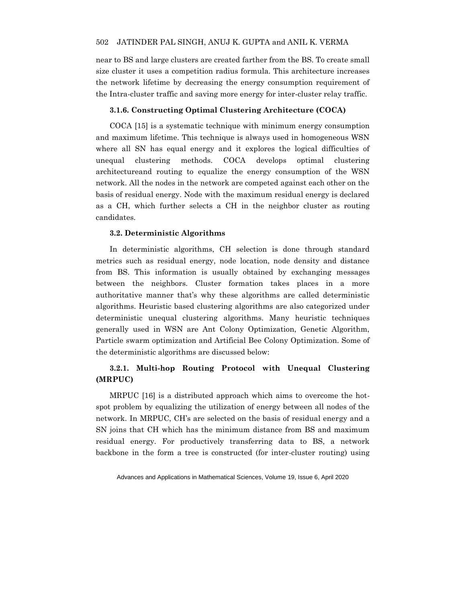near to BS and large clusters are created farther from the BS. To create small size cluster it uses a competition radius formula. This architecture increases the network lifetime by decreasing the energy consumption requirement of the Intra-cluster traffic and saving more energy for inter-cluster relay traffic.

## **3.1.6. Constructing Optimal Clustering Architecture (COCA)**

COCA [15] is a systematic technique with minimum energy consumption and maximum lifetime. This technique is always used in homogeneous WSN where all SN has equal energy and it explores the logical difficulties of unequal clustering methods. COCA develops optimal clustering architectureand routing to equalize the energy consumption of the WSN network. All the nodes in the network are competed against each other on the basis of residual energy. Node with the maximum residual energy is declared as a CH, which further selects a CH in the neighbor cluster as routing candidates.

## **3.2. Deterministic Algorithms**

In deterministic algorithms, CH selection is done through standard metrics such as residual energy, node location, node density and distance from BS. This information is usually obtained by exchanging messages between the neighbors. Cluster formation takes places in a more authoritative manner that's why these algorithms are called deterministic algorithms. Heuristic based clustering algorithms are also categorized under deterministic unequal clustering algorithms. Many heuristic techniques generally used in WSN are Ant Colony Optimization, Genetic Algorithm, Particle swarm optimization and Artificial Bee Colony Optimization. Some of the deterministic algorithms are discussed below:

## **3.2.1. Multi-hop Routing Protocol with Unequal Clustering (MRPUC)**

MRPUC [16] is a distributed approach which aims to overcome the hotspot problem by equalizing the utilization of energy between all nodes of the network. In MRPUC, CH's are selected on the basis of residual energy and a SN joins that CH which has the minimum distance from BS and maximum residual energy. For productively transferring data to BS, a network backbone in the form a tree is constructed (for inter-cluster routing) using

Advances and Applications in Mathematical Sciences, Volume 19, Issue 6, April 2020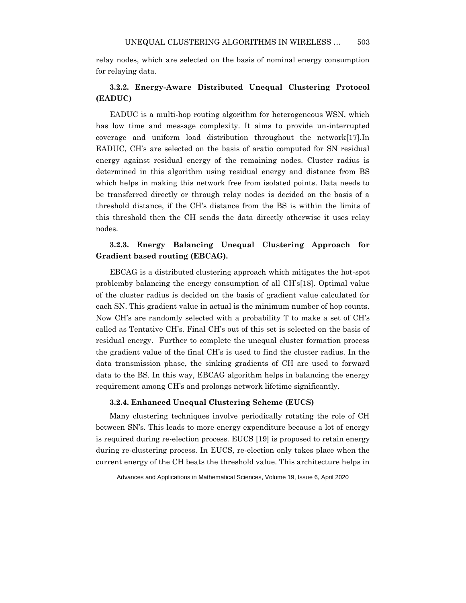relay nodes, which are selected on the basis of nominal energy consumption for relaying data.

## **3.2.2. Energy-Aware Distributed Unequal Clustering Protocol (EADUC)**

EADUC is a multi-hop routing algorithm for heterogeneous WSN, which has low time and message complexity. It aims to provide un-interrupted coverage and uniform load distribution throughout the network[17].In EADUC, CH's are selected on the basis of aratio computed for SN residual energy against residual energy of the remaining nodes. Cluster radius is determined in this algorithm using residual energy and distance from BS which helps in making this network free from isolated points. Data needs to be transferred directly or through relay nodes is decided on the basis of a threshold distance, if the CH's distance from the BS is within the limits of this threshold then the CH sends the data directly otherwise it uses relay nodes.

## **3.2.3. Energy Balancing Unequal Clustering Approach for Gradient based routing (EBCAG).**

EBCAG is a distributed clustering approach which mitigates the hot-spot problemby balancing the energy consumption of all CH's[18]. Optimal value of the cluster radius is decided on the basis of gradient value calculated for each SN. This gradient value in actual is the minimum number of hop counts. Now CH's are randomly selected with a probability T to make a set of CH's called as Tentative CH's. Final CH's out of this set is selected on the basis of residual energy. Further to complete the unequal cluster formation process the gradient value of the final CH's is used to find the cluster radius. In the data transmission phase, the sinking gradients of CH are used to forward data to the BS. In this way, EBCAG algorithm helps in balancing the energy requirement among CH's and prolongs network lifetime significantly.

## **3.2.4. Enhanced Unequal Clustering Scheme (EUCS)**

Many clustering techniques involve periodically rotating the role of CH between SN's. This leads to more energy expenditure because a lot of energy is required during re-election process. EUCS [19] is proposed to retain energy during re-clustering process. In EUCS, re-election only takes place when the current energy of the CH beats the threshold value. This architecture helps in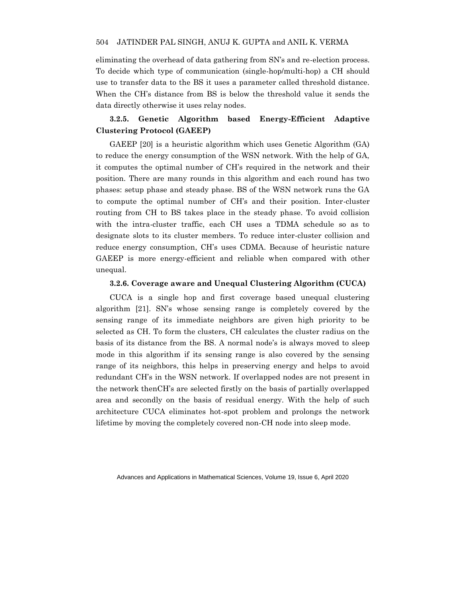eliminating the overhead of data gathering from SN's and re-election process. To decide which type of communication (single-hop/multi-hop) a CH should use to transfer data to the BS it uses a parameter called threshold distance. When the CH's distance from BS is below the threshold value it sends the data directly otherwise it uses relay nodes.

## **3.2.5. Genetic Algorithm based Energy-Efficient Adaptive Clustering Protocol (GAEEP)**

GAEEP [20] is a heuristic algorithm which uses Genetic Algorithm (GA) to reduce the energy consumption of the WSN network. With the help of GA, it computes the optimal number of CH's required in the network and their position. There are many rounds in this algorithm and each round has two phases: setup phase and steady phase. BS of the WSN network runs the GA to compute the optimal number of CH's and their position. Inter-cluster routing from CH to BS takes place in the steady phase. To avoid collision with the intra-cluster traffic, each CH uses a TDMA schedule so as to designate slots to its cluster members. To reduce inter-cluster collision and reduce energy consumption, CH's uses CDMA. Because of heuristic nature GAEEP is more energy-efficient and reliable when compared with other unequal.

## **3.2.6. Coverage aware and Unequal Clustering Algorithm (CUCA)**

CUCA is a single hop and first coverage based unequal clustering algorithm [21]. SN's whose sensing range is completely covered by the sensing range of its immediate neighbors are given high priority to be selected as CH. To form the clusters, CH calculates the cluster radius on the basis of its distance from the BS. A normal node's is always moved to sleep mode in this algorithm if its sensing range is also covered by the sensing range of its neighbors, this helps in preserving energy and helps to avoid redundant CH's in the WSN network. If overlapped nodes are not present in the network thenCH's are selected firstly on the basis of partially overlapped area and secondly on the basis of residual energy. With the help of such architecture CUCA eliminates hot-spot problem and prolongs the network lifetime by moving the completely covered non-CH node into sleep mode.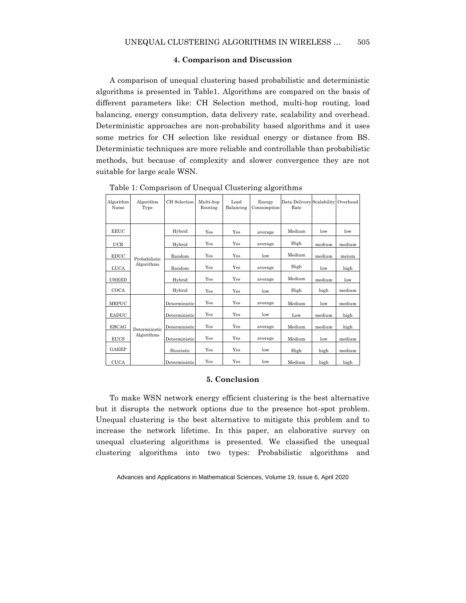## **4. Comparison and Discussion**

A comparison of unequal clustering based probabilistic and deterministic algorithms is presented in Table1. Algorithms are compared on the basis of different parameters like: CH Selection method, multi-hop routing, load balancing, energy consumption, data delivery rate, scalability and overhead. Deterministic approaches are non-probability based algorithms and it uses some metrics for CH selection like residual energy or distance from BS. Deterministic techniques are more reliable and controllable than probabilistic methods, but because of complexity and slower convergence they are not suitable for large scale WSN.

| Algorithm<br>Name | Algorithm<br>Type           | CH Selection  | Multi-hop<br>Routing | Load<br>Balancing | Energy<br>Consumption | Data Delivery Scalability<br>Rate |        | Overhead |
|-------------------|-----------------------------|---------------|----------------------|-------------------|-----------------------|-----------------------------------|--------|----------|
|                   |                             |               |                      |                   |                       |                                   |        |          |
| <b>EEUC</b>       | Probabilistic<br>Algorithms | Hybrid        | Yes                  | Yes               | average               | Medium                            | low    | low      |
| <b>UCR</b>        |                             | Hybrid        | Yes                  | Yes               | average               | High                              | medium | medium   |
| <b>EDUC</b>       |                             | Random        | Yes                  | Yes               | low                   | Medium                            | medium | meium    |
| <b>LUCA</b>       |                             | Random        | Yes                  | Yes               | average               | High                              | low    | high     |
| <b>UHEED</b>      |                             | Hybrid        | Yes                  | Yes               | average               | Medium                            | medium | low      |
| COCA              |                             | Hybrid        | Yes                  | Yes               | low                   | High                              | high   | medium   |
| MRPUC             | Deterministic<br>Algorithms | Deterministic | Yes                  | Yes               | average               | Medium                            | low    | medium   |
| <b>EADUC</b>      |                             | Deterministic | Yes                  | Yes               | low                   | Low                               | medium | high     |
| EBCAG             |                             | Deterministic | Yes                  | Yes               | average               | Medium                            | medium | high     |
| <b>EUCS</b>       |                             | Deterministic | Yes                  | Yes               | average               | Medium                            | low    | medium   |
| <b>GAEEP</b>      |                             | Heuristic     | Yes                  | Yes               | $_{\text{low}}$       | High                              | high   | medium   |
| <b>CUCA</b>       |                             | Deterministic | Yes                  | Yes               | low                   | Medium                            | high   | high     |

Table 1: Comparison of Unequal Clustering algorithms

## **5. Conclusion**

To make WSN network energy efficient clustering is the best alternative but it disrupts the network options due to the presence hot-spot problem. Unequal clustering is the best alternative to mitigate this problem and to increase the network lifetime. In this paper, an elaborative survey on unequal clustering algorithms is presented. We classified the unequal clustering algorithms into two types: Probabilistic algorithms and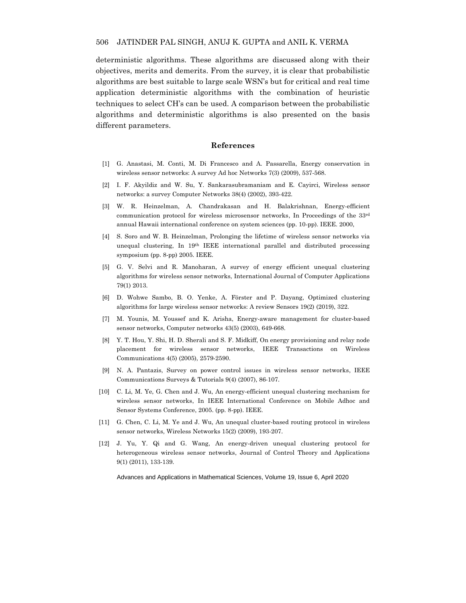deterministic algorithms. These algorithms are discussed along with their objectives, merits and demerits. From the survey, it is clear that probabilistic algorithms are best suitable to large scale WSN's but for critical and real time application deterministic algorithms with the combination of heuristic techniques to select CH's can be used. A comparison between the probabilistic algorithms and deterministic algorithms is also presented on the basis different parameters.

### **References**

- [1] G. Anastasi, M. Conti, M. Di Francesco and A. Passarella, Energy conservation in wireless sensor networks: A survey Ad hoc Networks 7(3) (2009), 537-568.
- [2] I. F. Akyildiz and W. Su, Y. Sankarasubramaniam and E. Cayirci, Wireless sensor networks: a survey Computer Networks 38(4) (2002), 393-422.
- [3] W. R. Heinzelman, A. Chandrakasan and H. Balakrishnan, Energy-efficient communication protocol for wireless microsensor networks, In Proceedings of the 33rd annual Hawaii international conference on system sciences (pp. 10-pp). IEEE. 2000,
- [4] S. Soro and W. B. Heinzelman, Prolonging the lifetime of wireless sensor networks via unequal clustering, In 19th IEEE international parallel and distributed processing symposium (pp. 8-pp) 2005. IEEE.
- [5] G. V. Selvi and R. Manoharan, A survey of energy efficient unequal clustering algorithms for wireless sensor networks, International Journal of Computer Applications 79(1) 2013.
- [6] D. Wohwe Sambo, B. O. Yenke, A. Förster and P. Dayang, Optimized clustering algorithms for large wireless sensor networks: A review Sensors 19(2) (2019), 322.
- [7] M. Younis, M. Youssef and K. Arisha, Energy-aware management for cluster-based sensor networks, Computer networks 43(5) (2003), 649-668.
- [8] Y. T. Hou, Y. Shi, H. D. Sherali and S. F. Midkiff, On energy provisioning and relay node placement for wireless sensor networks, IEEE Transactions on Wireless Communications 4(5) (2005), 2579-2590.
- [9] N. A. Pantazis, Survey on power control issues in wireless sensor networks, IEEE Communications Surveys & Tutorials 9(4) (2007), 86-107.
- [10] C. Li, M. Ye, G. Chen and J. Wu, An energy-efficient unequal clustering mechanism for wireless sensor networks, In IEEE International Conference on Mobile Adhoc and Sensor Systems Conference, 2005. (pp. 8-pp). IEEE.
- [11] G. Chen, C. Li, M. Ye and J. Wu, An unequal cluster-based routing protocol in wireless sensor networks, Wireless Networks 15(2) (2009), 193-207.
- [12] J. Yu, Y. Qi and G. Wang, An energy-driven unequal clustering protocol for heterogeneous wireless sensor networks, Journal of Control Theory and Applications 9(1) (2011), 133-139.